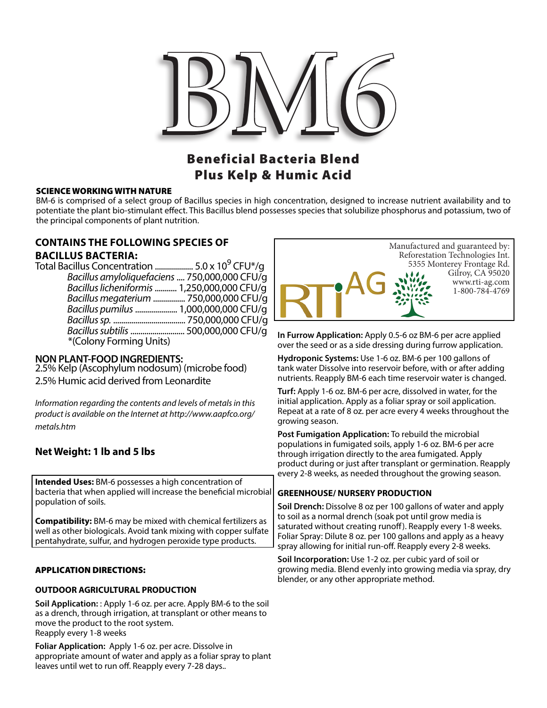

# Beneficial Bacteria Blend Plus Kelp & Humic Acid

#### SCIENCE WORKING WITH NATURE

BM-6 is comprised of a select group of Bacillus species in high concentration, designed to increase nutrient availability and to potentiate the plant bio-stimulant effect. This Bacillus blend possesses species that solubilize phosphorus and potassium, two of the principal components of plant nutrition.

## **CONTAINS THE FOLLOWING SPECIES OF BACILLUS BACTERIA:**

| Total Bacillus Concentration  5.0 x 10 <sup>9</sup> CFU*/q |  |
|------------------------------------------------------------|--|
| Bacillus amyloliquefaciens  750,000,000 CFU/q              |  |
| Bacillus licheniformis  1,250,000,000 CFU/g                |  |
| Bacillus megaterium  750,000,000 CFU/g                     |  |
| Bacillus pumilus  1,000,000,000 CFU/q                      |  |
|                                                            |  |
|                                                            |  |
| *(Colony Forming Units)                                    |  |
|                                                            |  |

### **NON PLANT-FOOD INGREDIENTS:**

2.5% Kelp (Ascophylum nodosum) (microbe food) 2.5% Humic acid derived from Leonardite

*Information regarding the contents and levels of metals in this product is available on the Internet at http://www.aapfco.org/ metals.htm*

### **Net Weight: 1 lb and 5 lbs**

**Intended Uses:** BM-6 possesses a high concentration of bacteria that when applied will increase the beneficial microbial population of soils.

**Compatibility:** BM-6 may be mixed with chemical fertilizers as well as other biologicals. Avoid tank mixing with copper sulfate pentahydrate, sulfur, and hydrogen peroxide type products.

### APPLICATION DIRECTIONS:

### **OUTDOOR AGRICULTURAL PRODUCTION**

**Soil Application:** : Apply 1-6 oz. per acre. Apply BM-6 to the soil as a drench, through irrigation, at transplant or other means to move the product to the root system. Reapply every 1-8 weeks

**Foliar Application:** Apply 1-6 oz. per acre. Dissolve in appropriate amount of water and apply as a foliar spray to plant leaves until wet to run off. Reapply every 7-28 days..



**In Furrow Application:** Apply 0.5-6 oz BM-6 per acre applied over the seed or as a side dressing during furrow application.

**Hydroponic Systems:** Use 1-6 oz. BM-6 per 100 gallons of tank water Dissolve into reservoir before, with or after adding nutrients. Reapply BM-6 each time reservoir water is changed.

**Turf:** Apply 1-6 oz. BM-6 per acre, dissolved in water, for the initial application. Apply as a foliar spray or soil application. Repeat at a rate of 8 oz. per acre every 4 weeks throughout the growing season.

**Post Fumigation Application:** To rebuild the microbial populations in fumigated soils, apply 1-6 oz. BM-6 per acre through irrigation directly to the area fumigated. Apply product during or just after transplant or germination. Reapply every 2-8 weeks, as needed throughout the growing season.

### **GREENHOUSE/ NURSERY PRODUCTION**

**Soil Drench:** Dissolve 8 oz per 100 gallons of water and apply to soil as a normal drench (soak pot until grow media is saturated without creating runoff). Reapply every 1-8 weeks. Foliar Spray: Dilute 8 oz. per 100 gallons and apply as a heavy spray allowing for initial run-off. Reapply every 2-8 weeks.

**Soil Incorporation:** Use 1-2 oz. per cubic yard of soil or growing media. Blend evenly into growing media via spray, dry blender, or any other appropriate method.